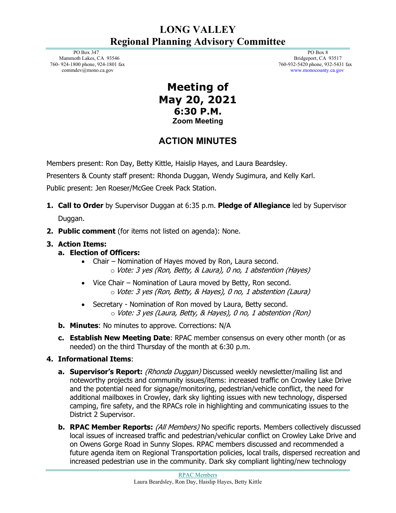## **LONG VALLEY Regional Planning Advisory Committee**

 PO Box 347 Mammoth Lakes, CA 93546 760- 924-1800 phone, 924-1801 fax commdev@mono.ca.gov

 PO Box 8 Bridgeport, CA 93517 760-932-5420 phone, 932-5431 fax www.monocounty.ca.gov

## **Meeting of May 20, 2021 6:30 P.M. Zoom Meeting**

# **ACTION MINUTES**

Members present: Ron Day, Betty Kittle, Haislip Hayes, and Laura Beardsley.

Presenters & County staff present: Rhonda Duggan, Wendy Sugimura, and Kelly Karl.

Public present: Jen Roeser/McGee Creek Pack Station.

- **1. Call to Order** by Supervisor Duggan at 6:35 p.m. **Pledge of Allegiance** led by Supervisor Duggan.
- **2. Public comment** (for items not listed on agenda): None.

### **3. Action Items:**

- **a. Election of Officers:**
	- Chair Nomination of Hayes moved by Ron, Laura second. o Vote: 3 yes (Ron, Betty, & Laura), 0 no, 1 abstention (Hayes)
	- Vice Chair Nomination of Laura moved by Betty, Ron second. o Vote: 3 yes (Ron, Betty, & Hayes), 0 no, 1 abstention (Laura)
	- Secretary Nomination of Ron moved by Laura, Betty second. o Vote: 3 yes (Laura, Betty, & Hayes), 0 no, 1 abstention (Ron)
- **b. Minutes**: No minutes to approve. Corrections: N/A
- **c. Establish New Meeting Date**: RPAC member consensus on every other month (or as needed) on the third Thursday of the month at 6:30 p.m.

### **4. Informational Items**:

- **a. Supervisor's Report:** (*Rhonda Duggan*) Discussed weekly newsletter/mailing list and noteworthy projects and community issues/items: increased traffic on Crowley Lake Drive and the potential need for signage/monitoring, pedestrian/vehicle conflict, the need for additional mailboxes in Crowley, dark sky lighting issues with new technology, dispersed camping, fire safety, and the RPACs role in highlighting and communicating issues to the District 2 Supervisor.
- **b. RPAC Member Reports:** (All Members) No specific reports. Members collectively discussed local issues of increased traffic and pedestrian/vehicular conflict on Crowley Lake Drive and on Owens Gorge Road in Sunny Slopes. RPAC members discussed and recommended a future agenda item on Regional Transportation policies, local trails, dispersed recreation and increased pedestrian use in the community. Dark sky compliant lighting/new technology